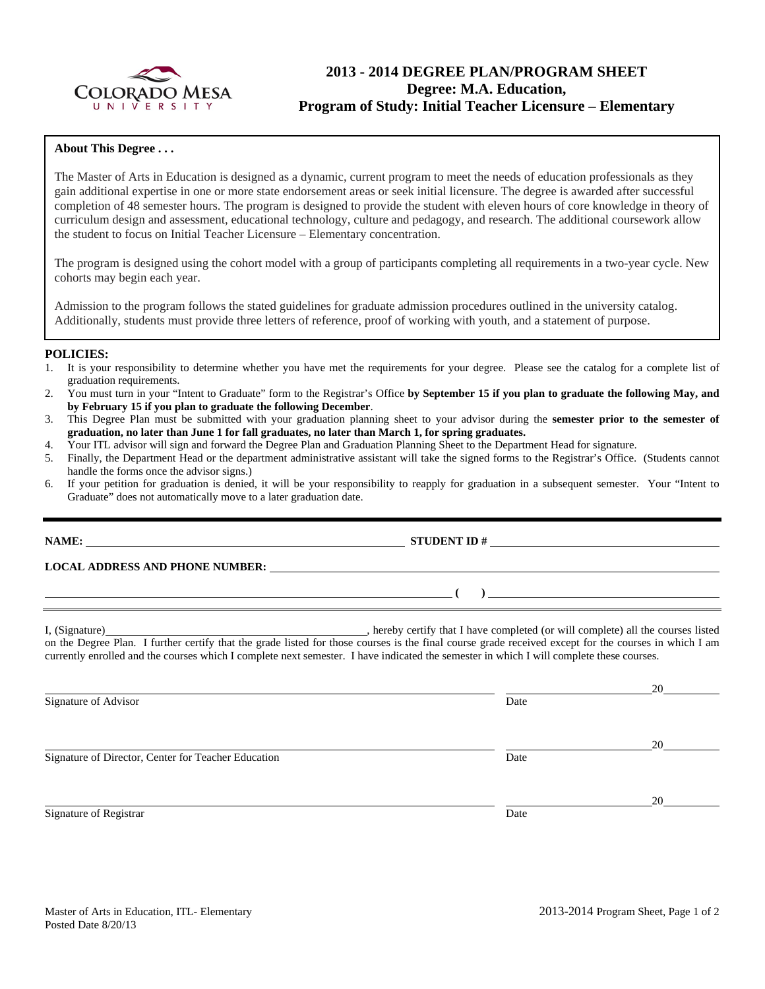

# **2013 - 2014 DEGREE PLAN/PROGRAM SHEET Degree: M.A. Education, Program of Study: Initial Teacher Licensure – Elementary**

#### **About This Degree . . .**

The Master of Arts in Education is designed as a dynamic, current program to meet the needs of education professionals as they gain additional expertise in one or more state endorsement areas or seek initial licensure. The degree is awarded after successful completion of 48 semester hours. The program is designed to provide the student with eleven hours of core knowledge in theory of curriculum design and assessment, educational technology, culture and pedagogy, and research. The additional coursework allow the student to focus on Initial Teacher Licensure – Elementary concentration.

The program is designed using the cohort model with a group of participants completing all requirements in a two-year cycle. New cohorts may begin each year.

Admission to the program follows the stated guidelines for graduate admission procedures outlined in the university catalog. Additionally, students must provide three letters of reference, proof of working with youth, and a statement of purpose.

#### **POLICIES:**

- 1. It is your responsibility to determine whether you have met the requirements for your degree. Please see the catalog for a complete list of graduation requirements.
- 2. You must turn in your "Intent to Graduate" form to the Registrar's Office **by September 15 if you plan to graduate the following May, and by February 15 if you plan to graduate the following December**.
- 3. This Degree Plan must be submitted with your graduation planning sheet to your advisor during the **semester prior to the semester of graduation, no later than June 1 for fall graduates, no later than March 1, for spring graduates.**
- 4. Your ITL advisor will sign and forward the Degree Plan and Graduation Planning Sheet to the Department Head for signature.
- 5. Finally, the Department Head or the department administrative assistant will take the signed forms to the Registrar's Office. (Students cannot handle the forms once the advisor signs.)
- 6. If your petition for graduation is denied, it will be your responsibility to reapply for graduation in a subsequent semester. Your "Intent to Graduate" does not automatically move to a later graduation date.

**NAME: STUDENT ID #**

**LOCAL ADDRESS AND PHONE NUMBER:**

I, (Signature) , hereby certify that I have completed (or will complete) all the courses listed on the Degree Plan. I further certify that the grade listed for those courses is the final course grade received except for the courses in which I am currently enrolled and the courses which I complete next semester. I have indicated the semester in which I will complete these courses.

<u>20</u> Signature of Advisor Date <u>20</u> Signature of Director, Center for Teacher Education Date <u>20</u> Signature of Registrar Date Date of Registrar Date Date of Registrar Date Date of Registrar Date of Registrar Date of Registrar  $\sim$  Date of Registrar  $\sim$  Date of Registrar  $\sim$  Date of Registrar  $\sim$  Date of Registrar  $\$ 

 **( )**